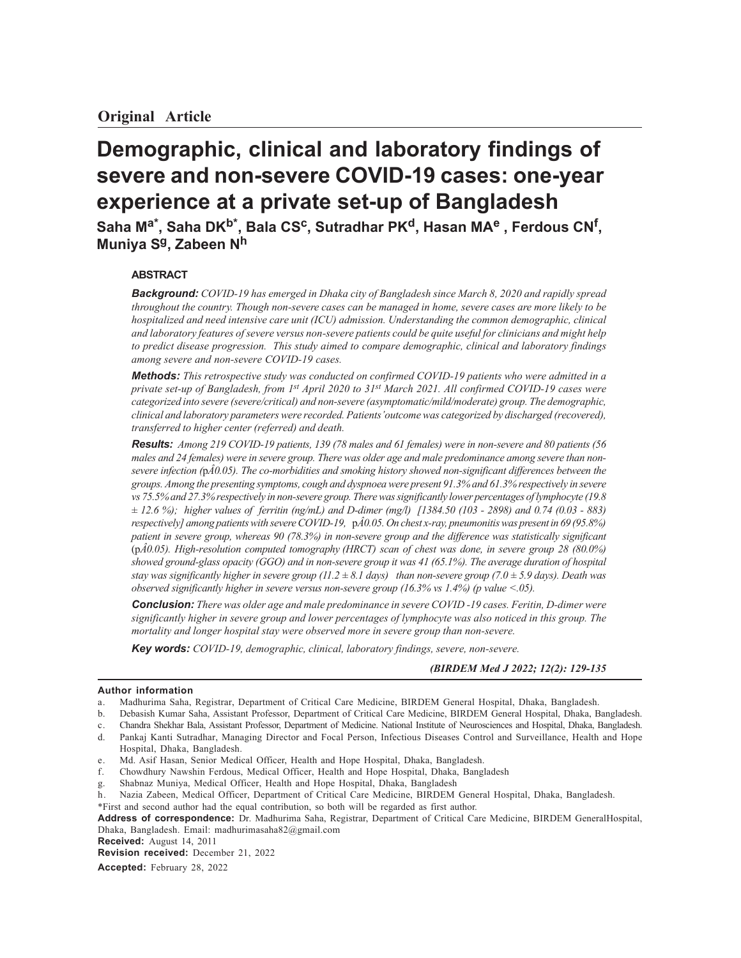# **Demographic, clinical and laboratory findings of severe and non-severe COVID-19 cases: one-year experience at a private set-up of Bangladesh**

**Saha Ma\*, Saha DKb\*, Bala CSc, Sutradhar PKd, Hasan MAe , Ferdous CN<sup>f</sup> , Muniya Sg, Zabeen N<sup>h</sup>**

# **ABSTRACT**

*Background: COVID-19 has emerged in Dhaka city of Bangladesh since March 8, 2020 and rapidly spread throughout the country. Though non-severe cases can be managed in home, severe cases are more likely to be hospitalized and need intensive care unit (ICU) admission. Understanding the common demographic, clinical and laboratory features of severe versus non-severe patients could be quite useful for clinicians and might help to predict disease progression. This study aimed to compare demographic, clinical and laboratory findings among severe and non-severe COVID-19 cases.*

*Methods: This retrospective study was conducted on confirmed COVID-19 patients who were admitted in a private set-up of Bangladesh, from 1st April 2020 to 31st March 2021. All confirmed COVID-19 cases were categorized into severe (severe/critical) and non-severe (asymptomatic/mild/moderate) group. The demographic, clinical and laboratory parameters were recorded. Patients'outcome was categorized by discharged (recovered), transferred to higher center (referred) and death.*

*Results: Among 219 COVID-19 patients, 139 (78 males and 61 females) were in non-severe and 80 patients (56 males and 24 females) were in severe group. There was older age and male predominance among severe than nonsevere infection (*p*Â0.05). The co-morbidities and smoking history showed non-significant differences between the groups. Among the presenting symptoms, cough and dyspnoea were present 91.3% and 61.3% respectively in severe vs 75.5% and 27.3% respectively in non-severe group. There was significantly lower percentages of lymphocyte (19.8 ± 12.6 %); higher values of ferritin (ng/mL) and D-dimer (mg/l) [1384.50 (103 - 2898) and 0.74 (0.03 - 883) respectively] among patients with severe COVID-19,* p*Â0.05. On chest x-ray, pneumonitis was present in 69 (95.8%) patient in severe group, whereas 90 (78.3%) in non-severe group and the difference was statistically significant* (p*Â0.05). High-resolution computed tomography (HRCT) scan of chest was done, in severe group 28 (80.0%) showed ground-glass opacity (GGO) and in non-severe group it was 41 (65.1%). The average duration of hospital stay was significantly higher in severe group (11.2 ± 8.1 days) than non-severe group (7.0 ± 5.9 days). Death was observed significantly higher in severe versus non-severe group (16.3% vs 1.4%) (p value <.05).*

*Conclusion: There was older age and male predominance in severe COVID -19 cases. Feritin, D-dimer were significantly higher in severe group and lower percentages of lymphocyte was also noticed in this group. The mortality and longer hospital stay were observed more in severe group than non-severe.*

*Key words: COVID-19, demographic, clinical, laboratory findings, severe, non-severe.*

#### *(BIRDEM Med J 2022; 12(2): 129-135*

#### **Author information**

- f. Chowdhury Nawshin Ferdous, Medical Officer, Health and Hope Hospital, Dhaka, Bangladesh
- Shabnaz Muniya, Medical Officer, Health and Hope Hospital, Dhaka, Bangladesh
- h. Nazia Zabeen, Medical Officer, Department of Critical Care Medicine, BIRDEM General Hospital, Dhaka, Bangladesh.
- \*First and second author had the equal contribution, so both will be regarded as first author.

**Address of correspondence:** Dr. Madhurima Saha, Registrar, Department of Critical Care Medicine, BIRDEM GeneralHospital, Dhaka, Bangladesh. Email: madhurimasaha82@gmail.com

**Received:** August 14, 2011

**Revision received:** December 21, 2022

**Accepted:** February 28, 2022

a. Madhurima Saha, Registrar, Department of Critical Care Medicine, BIRDEM General Hospital, Dhaka, Bangladesh.

b. Debasish Kumar Saha, Assistant Professor, Department of Critical Care Medicine, BIRDEM General Hospital, Dhaka, Bangladesh.

c. Chandra Shekhar Bala, Assistant Professor, Department of Medicine. National Institute of Neurosciences and Hospital, Dhaka, Bangladesh.

d. Pankaj Kanti Sutradhar, Managing Director and Focal Person, Infectious Diseases Control and Surveillance, Health and Hope Hospital, Dhaka, Bangladesh.

e. Md. Asif Hasan, Senior Medical Officer, Health and Hope Hospital, Dhaka, Bangladesh.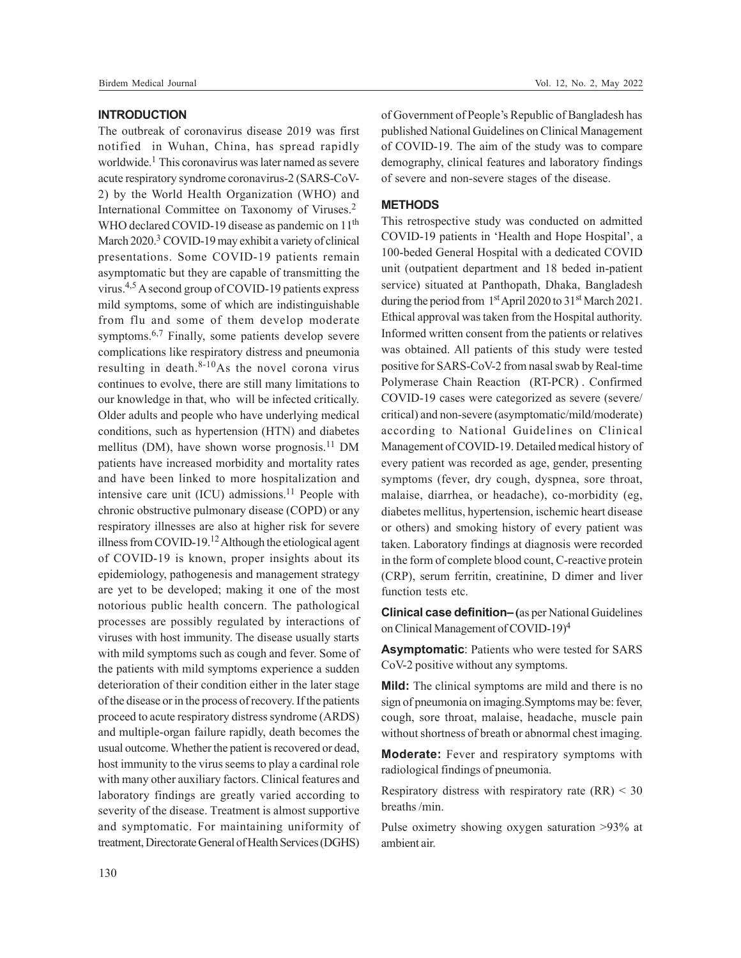#### **INTRODUCTION**

The outbreak of coronavirus disease 2019 was first notified in Wuhan, China, has spread rapidly worldwide.<sup>1</sup> This coronavirus was later named as severe acute respiratory syndrome coronavirus-2 (SARS-CoV-2) by the World Health Organization (WHO) and International Committee on Taxonomy of Viruses.<sup>2</sup> WHO declared COVID-19 disease as pandemic on  $11<sup>th</sup>$ March 2020.<sup>3</sup> COVID-19 may exhibit a variety of clinical presentations. Some COVID-19 patients remain asymptomatic but they are capable of transmitting the virus.4,5 A second group of COVID-19 patients express mild symptoms, some of which are indistinguishable from flu and some of them develop moderate symptoms.<sup>6,7</sup> Finally, some patients develop severe complications like respiratory distress and pneumonia resulting in death. $8-10$ As the novel corona virus continues to evolve, there are still many limitations to our knowledge in that, who will be infected critically. Older adults and people who have underlying medical conditions, such as hypertension (HTN) and diabetes mellitus (DM), have shown worse prognosis.<sup>11</sup> DM patients have increased morbidity and mortality rates and have been linked to more hospitalization and intensive care unit (ICU) admissions.<sup>11</sup> People with chronic obstructive pulmonary disease (COPD) or any respiratory illnesses are also at higher risk for severe illness from COVID-19.<sup>12</sup> Although the etiological agent of COVID-19 is known, proper insights about its epidemiology, pathogenesis and management strategy are yet to be developed; making it one of the most notorious public health concern. The pathological processes are possibly regulated by interactions of viruses with host immunity. The disease usually starts with mild symptoms such as cough and fever. Some of the patients with mild symptoms experience a sudden deterioration of their condition either in the later stage of the disease or in the process of recovery. If the patients proceed to acute respiratory distress syndrome (ARDS) and multiple-organ failure rapidly, death becomes the usual outcome. Whether the patient is recovered or dead, host immunity to the virus seems to play a cardinal role with many other auxiliary factors. Clinical features and laboratory findings are greatly varied according to severity of the disease. Treatment is almost supportive and symptomatic. For maintaining uniformity of treatment, Directorate General of Health Services (DGHS)

of Government of People's Republic of Bangladesh has published National Guidelines on Clinical Management of COVID-19. The aim of the study was to compare demography, clinical features and laboratory findings of severe and non-severe stages of the disease.

## **METHODS**

This retrospective study was conducted on admitted COVID-19 patients in 'Health and Hope Hospital', a 100-beded General Hospital with a dedicated COVID unit (outpatient department and 18 beded in-patient service) situated at Panthopath, Dhaka, Bangladesh during the period from 1<sup>st</sup> April 2020 to 31<sup>st</sup> March 2021. Ethical approval was taken from the Hospital authority. Informed written consent from the patients or relatives was obtained. All patients of this study were tested positive for SARS-CoV-2 from nasal swab by Real-time Polymerase Chain Reaction (RT-PCR) . Confirmed COVID-19 cases were categorized as severe (severe/ critical) and non-severe (asymptomatic/mild/moderate) according to National Guidelines on Clinical Management of COVID-19. Detailed medical history of every patient was recorded as age, gender, presenting symptoms (fever, dry cough, dyspnea, sore throat, malaise, diarrhea, or headache), co-morbidity (eg, diabetes mellitus, hypertension, ischemic heart disease or others) and smoking history of every patient was taken. Laboratory findings at diagnosis were recorded in the form of complete blood count, C-reactive protein (CRP), serum ferritin, creatinine, D dimer and liver function tests etc.

**Clinical case definition–** (as per National Guidelines on Clinical Management of COVID-19)<sup>4</sup>

**Asymptomatic**: Patients who were tested for SARS CoV-2 positive without any symptoms.

**Mild:** The clinical symptoms are mild and there is no sign of pneumonia on imaging.Symptoms may be: fever, cough, sore throat, malaise, headache, muscle pain without shortness of breath or abnormal chest imaging.

**Moderate:** Fever and respiratory symptoms with radiological findings of pneumonia.

Respiratory distress with respiratory rate  $(RR) < 30$ breaths /min.

Pulse oximetry showing oxygen saturation >93% at ambient air.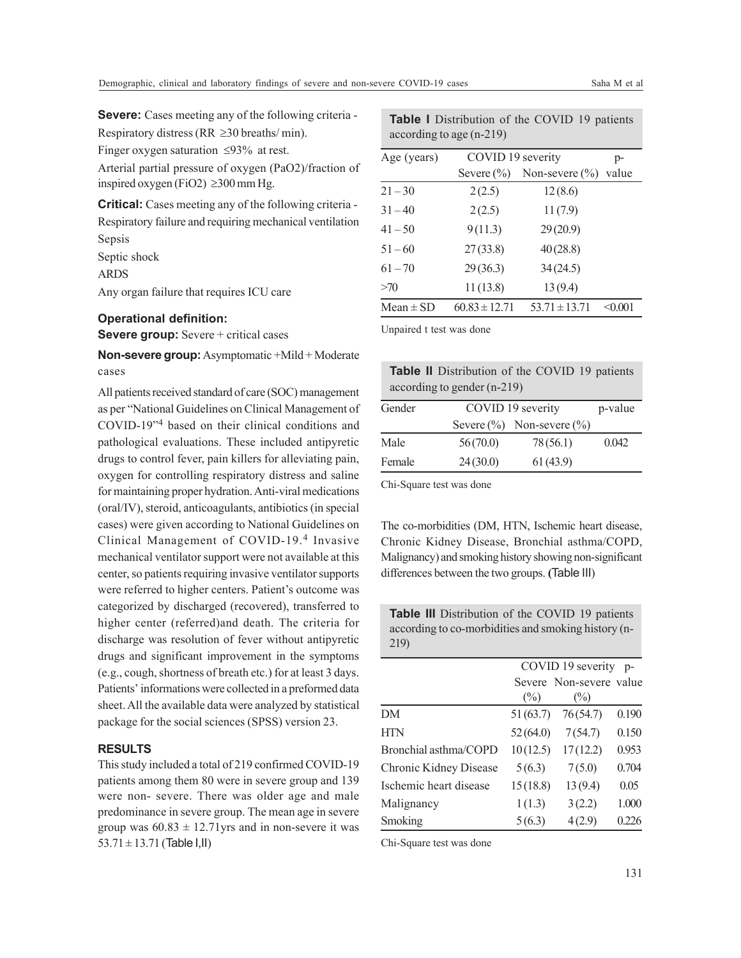**Severe:** Cases meeting any of the following criteria -Respiratory distress (RR  $\geq$ 30 breaths/ min).

Finger oxygen saturation  $\leq 93\%$  at rest.

Arterial partial pressure of oxygen (PaO2)/fraction of inspired oxygen (FiO2)  $\geq$ 300 mm Hg.

**Critical:** Cases meeting any of the following criteria - Respiratory failure and requiring mechanical ventilation Sepsis

Septic shock

ARDS

Any organ failure that requires ICU care

#### **Operational definition:**

**Severe group:** Severe + critical cases

**Non-severe group:**Asymptomatic +Mild + Moderate cases

All patients received standard of care (SOC) management as per "National Guidelines on Clinical Management of COVID-19"<sup>4</sup> based on their clinical conditions and pathological evaluations. These included antipyretic drugs to control fever, pain killers for alleviating pain, oxygen for controlling respiratory distress and saline for maintaining proper hydration. Anti-viral medications (oral/IV), steroid, anticoagulants, antibiotics (in special cases) were given according to National Guidelines on Clinical Management of COVID-19.<sup>4</sup> Invasive mechanical ventilator support were not available at this center, so patients requiring invasive ventilator supports were referred to higher centers. Patient's outcome was categorized by discharged (recovered), transferred to higher center (referred)and death. The criteria for discharge was resolution of fever without antipyretic drugs and significant improvement in the symptoms (e.g., cough, shortness of breath etc.) for at least 3 days. Patients' informations were collected in a preformed data sheet. All the available data were analyzed by statistical package for the social sciences (SPSS) version 23.

# **RESULTS**

This study included a total of 219 confirmed COVID-19 patients among them 80 were in severe group and 139 were non- severe. There was older age and male predominance in severe group. The mean age in severe group was  $60.83 \pm 12.71$  yrs and in non-severe it was  $53.71 \pm 13.71$  (Table I,II)

| according to age $(n-219)$ |                   |                    |         |  |
|----------------------------|-------------------|--------------------|---------|--|
| Age (years)                | COVID 19 severity |                    | $p-$    |  |
|                            | Severe $(\% )$    | Non-severe $(\% )$ | value   |  |
| $21 - 30$                  | 2(2.5)            | 12(8.6)            |         |  |
| $31 - 40$                  | 2(2.5)            | 11(7.9)            |         |  |
| $41 - 50$                  | 9(11.3)           | 29(20.9)           |         |  |
| $51 - 60$                  | 27(33.8)          | 40(28.8)           |         |  |
| $61 - 70$                  | 29(36.3)          | 34(24.5)           |         |  |
| >70                        | 11(13.8)          | 13(9.4)            |         |  |
| Mean $\pm$ SD              | $60.83 \pm 12.71$ | $53.71 \pm 13.71$  | < 0.001 |  |

**Table I** Distribution of the COVID 19 patients

Unpaired t test was done

| <b>Table II</b> Distribution of the COVID 19 patients |  |
|-------------------------------------------------------|--|
| according to gender $(n-219)$                         |  |

| Gender |          | COVID 19 severity               |       |
|--------|----------|---------------------------------|-------|
|        |          | Severe $(\%)$ Non-severe $(\%)$ |       |
| Male   | 56(70.0) | 78(56.1)                        | 0.042 |
| Female | 24(30.0) | 61(43.9)                        |       |

Chi-Square test was done

The co-morbidities (DM, HTN, Ischemic heart disease, Chronic Kidney Disease, Bronchial asthma/COPD, Malignancy) and smoking history showing non-significant differences between the two groups. **(**Table III)

**Table III** Distribution of the COVID 19 patients according to co-morbidities and smoking history (n-219)

|                        |          | COVID 19 severity       | $D -$ |
|------------------------|----------|-------------------------|-------|
|                        |          | Severe Non-severe value |       |
|                        | $(\%)$   | $(\%)$                  |       |
| DM                     | 51(63.7) | 76(54.7)                | 0.190 |
| <b>HTN</b>             | 52(64.0) | 7(54.7)                 | 0.150 |
| Bronchial asthma/COPD  | 10(12.5) | 17(12.2)                | 0.953 |
| Chronic Kidney Disease | 5(6.3)   | 7(5.0)                  | 0.704 |
| Ischemic heart disease | 15(18.8) | 13(9.4)                 | 0.05  |
| Malignancy             | 1(1.3)   | 3(2.2)                  | 1.000 |
| Smoking                | 5(6.3)   | 4(2.9)                  | 0.226 |

Chi-Square test was done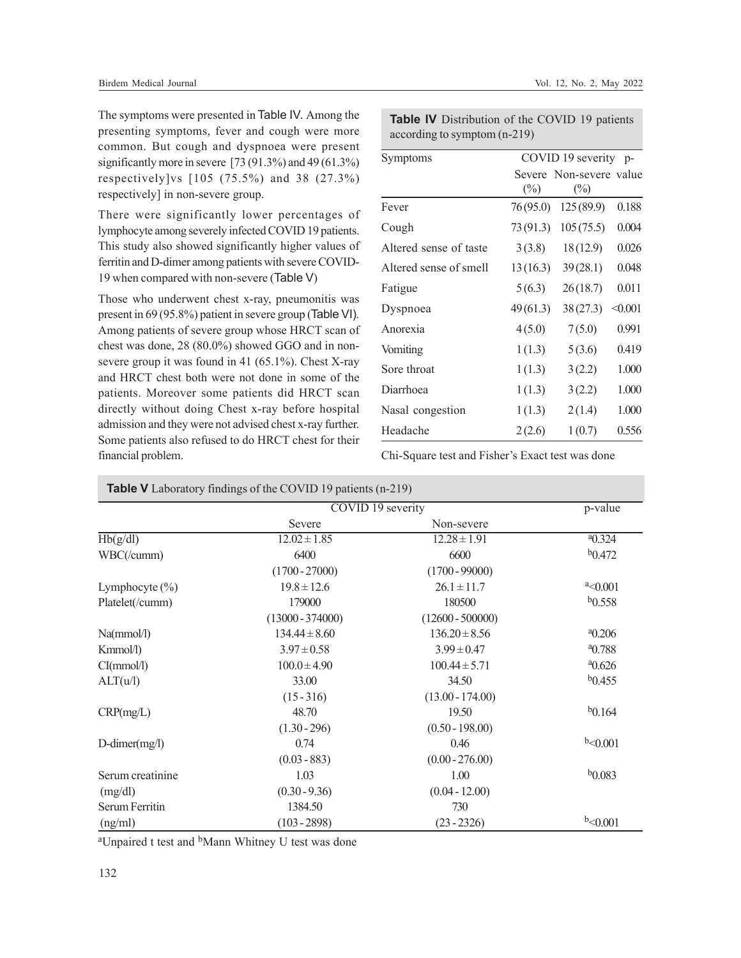The symptoms were presented in Table IV. Among the presenting symptoms, fever and cough were more common. But cough and dyspnoea were present significantly more in severe [73 (91.3%) and 49 (61.3%) respectively]vs [105 (75.5%) and 38 (27.3%) respectively] in non-severe group.

There were significantly lower percentages of lymphocyte among severely infected COVID 19 patients. This study also showed significantly higher values of ferritin and D-dimer among patients with severe COVID-19 when compared with non-severe (Table V)

Those who underwent chest x-ray, pneumonitis was present in 69 (95.8%) patient in severe group (Table VI). Among patients of severe group whose HRCT scan of chest was done, 28 (80.0%) showed GGO and in nonsevere group it was found in 41 (65.1%). Chest X-ray and HRCT chest both were not done in some of the patients. Moreover some patients did HRCT scan directly without doing Chest x-ray before hospital admission and they were not advised chest x-ray further. Some patients also refused to do HRCT chest for their financial problem.

| <b>Table IV</b> Distribution of the COVID 19 patients |  |
|-------------------------------------------------------|--|
| according to symptom $(n-219)$                        |  |

| Symptoms               | COVID 19 severity<br>$p-$ |                                           |         |
|------------------------|---------------------------|-------------------------------------------|---------|
|                        | $(\%)$                    | Severe Non-severe value<br>$\binom{0}{0}$ |         |
| Fever                  | 76(95.0)                  | 125(89.9)                                 | 0.188   |
| Cough                  | 73(91.3)                  | 105(75.5)                                 | 0.004   |
| Altered sense of taste | 3(3.8)                    | 18(12.9)                                  | 0.026   |
| Altered sense of smell | 13(16.3)                  | 39(28.1)                                  | 0.048   |
| Fatigue                | 5(6.3)                    | 26(18.7)                                  | 0.011   |
| Dyspnoea               | 49(61.3)                  | 38(27.3)                                  | < 0.001 |
| Anorexia               | 4(5.0)                    | 7(5.0)                                    | 0.991   |
| Vomiting               | 1(1.3)                    | 5(3.6)                                    | 0.419   |
| Sore throat            | 1(1.3)                    | 3(2.2)                                    | 1.000   |
| Diarrhoea              | 1(1.3)                    | 3(2.2)                                    | 1.000   |
| Nasal congestion       | 1(1.3)                    | 2(1.4)                                    | 1.000   |
| Headache               | 2(2.6)                    | 1(0.7)                                    | 0.556   |

Chi-Square test and Fisher's Exact test was done

|                     | COVID 19 severity  |                    | p-value        |
|---------------------|--------------------|--------------------|----------------|
|                     | Severe             | Non-severe         |                |
| Hb(g/dl)            | $12.02 \pm 1.85$   | $12.28 \pm 1.91$   | $a_{0.324}$    |
| WBC(/cumm)          | 6400               | 6600               | $b_{0.472}$    |
|                     | $(1700 - 27000)$   | $(1700 - 99000)$   |                |
| Lymphocyte $(\% )$  | $19.8 \pm 12.6$    | $26.1 \pm 11.7$    | $^{a}$ < 0.001 |
| Platelet(/cumm)     | 179000             | 180500             | b0.558         |
|                     | $(13000 - 374000)$ | $(12600 - 500000)$ |                |
| Na(mmol/l)          | $134.44 \pm 8.60$  | $136.20 \pm 8.56$  | $^{a}0.206$    |
| Kmmol/l)            | $3.97 \pm 0.58$    | $3.99 \pm 0.47$    | $^{a}$ 0.788   |
| CI(mmol/l)          | $100.0 \pm 4.90$   | $100.44 \pm 5.71$  | $^{a}0.626$    |
| ALT(u/l)            | 33.00              | 34.50              | $b$ 0.455      |
|                     | $(15 - 316)$       | $(13.00 - 174.00)$ |                |
| CRP(mg/L)           | 48.70              | 19.50              | $b_{0.164}$    |
|                     | $(1.30 - 296)$     | $(0.50 - 198.00)$  |                |
| $D$ -dimer $(mg/l)$ | 0.74               | 0.46               | b < 0.001      |
|                     | $(0.03 - 883)$     | $(0.00 - 276.00)$  |                |
| Serum creatinine    | 1.03               | 1.00               | $b_{0.083}$    |
| (mg/dl)             | $(0.30 - 9.36)$    | $(0.04 - 12.00)$   |                |
| Serum Ferritin      | 1384.50            | 730                |                |
| (ng/ml)             | $(103 - 2898)$     | $(23 - 2326)$      | b<0.001        |

<sup>a</sup>Unpaired t test and <sup>b</sup>Mann Whitney U test was done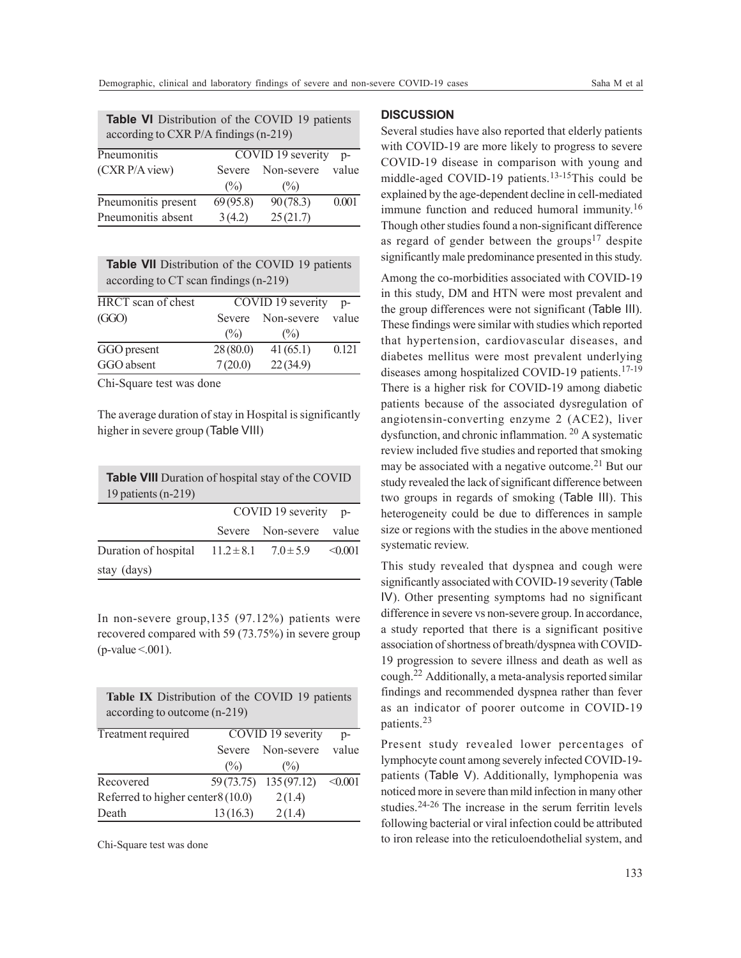| <b>Table VI</b> Distribution of the COVID 19 patients<br>according to CXR P/A findings (n-219) |          |            |       |  |
|------------------------------------------------------------------------------------------------|----------|------------|-------|--|
| COVID 19 severity<br>Pneumonitis<br>$D -$                                                      |          |            |       |  |
| (CXRP/A view)                                                                                  | Severe   | Non-severe | value |  |
|                                                                                                | $(\%)$   | $($ %)     |       |  |
| Pneumonitis present                                                                            | 69(95.8) | 90(78.3)   | 0.001 |  |
| Pneumonitis absent                                                                             | 3(4.2)   | 25(21.7)   |       |  |

| <b>Table VII</b> Distribution of the COVID 19 patients |
|--------------------------------------------------------|
| according to CT scan findings (n-219)                  |

| HRCT scan of chest |               | COVID 19 severity | $D -$ |
|--------------------|---------------|-------------------|-------|
| (GGO)              | Severe        | Non-severe        | value |
|                    | $\frac{6}{2}$ | $\frac{(9)}{0}$   |       |
| GGO present        | 28(80.0)      | 41(65.1)          | 0.121 |
| GGO absent         | 7(20.0)       | 22(34.9)          |       |

Chi-Square test was done

The average duration of stay in Hospital is significantly higher in severe group (Table VIII)

| <b>Table VIII</b> Duration of hospital stay of the COVID<br>19 patients $(n-219)$ |                      |              |
|-----------------------------------------------------------------------------------|----------------------|--------------|
|                                                                                   | COVID 19 severity p- |              |
|                                                                                   | Severe Non-severe    | value        |
| Duration of hospital $11.2 \pm 8.1$ $7.0 \pm 5.9$                                 |                      | $\leq 0.001$ |
| stay (days)                                                                       |                      |              |

In non-severe group,135 (97.12%) patients were recovered compared with 59 (73.75%) in severe group  $(p$ -value  $\leq 0.001$ ).

| Table IX Distribution of the COVID 19 patients<br>according to outcome (n-219) |               |                        |         |  |
|--------------------------------------------------------------------------------|---------------|------------------------|---------|--|
| Treatment required                                                             |               | COVID 19 severity      | $p-$    |  |
|                                                                                | <b>Severe</b> | Non-severe             | value   |  |
|                                                                                | $($ %)        | $\frac{(0)}{0}$        |         |  |
| Recovered                                                                      |               | 59 (73.75) 135 (97.12) | < 0.001 |  |
| Referred to higher center $8(10.0)$                                            |               | 2(1.4)                 |         |  |
| Death                                                                          | 13(16.3)      | 2(1.4)                 |         |  |

Chi-Square test was done

# **DISCUSSION**

Several studies have also reported that elderly patients with COVID-19 are more likely to progress to severe COVID-19 disease in comparison with young and middle-aged COVID-19 patients.<sup>13-15</sup>This could be explained by the age-dependent decline in cell-mediated immune function and reduced humoral immunity.<sup>16</sup> Though other studies found a non-significant difference as regard of gender between the groups<sup>17</sup> despite significantly male predominance presented in this study.

Among the co-morbidities associated with COVID-19 in this study, DM and HTN were most prevalent and the group differences were not significant (Table III). These findings were similar with studies which reported that hypertension, cardiovascular diseases, and diabetes mellitus were most prevalent underlying diseases among hospitalized COVID-19 patients.<sup>17-19</sup> There is a higher risk for COVID-19 among diabetic patients because of the associated dysregulation of angiotensin-converting enzyme 2 (ACE2), liver dysfunction, and chronic inflammation. 20 A systematic review included five studies and reported that smoking may be associated with a negative outcome.<sup>21</sup> But our study revealed the lack of significant difference between two groups in regards of smoking (Table III). This heterogeneity could be due to differences in sample size or regions with the studies in the above mentioned systematic review.

difference in severe vs non-severe group. In accordance, a study reported that there is a significant positive association of shortness of breath/dyspnea with COVID-19 progression to severe illness and death as well as cough.22 Additionally, a meta-analysis reported similar findings and recommended dyspnea rather than fever as an indicator of poorer outcome in COVID-19 patients.<sup>23</sup> This study revealed that dyspnea and cough were significantly associated with COVID-19 severity (Table IV). Other presenting symptoms had no significant

Present study revealed lower percentages of lymphocyte count among severely infected COVID-19 patients (Table V). Additionally, lymphopenia was noticed more in severe than mild infection in many other studies.24-26 The increase in the serum ferritin levels following bacterial or viral infection could be attributed to iron release into the reticuloendothelial system, and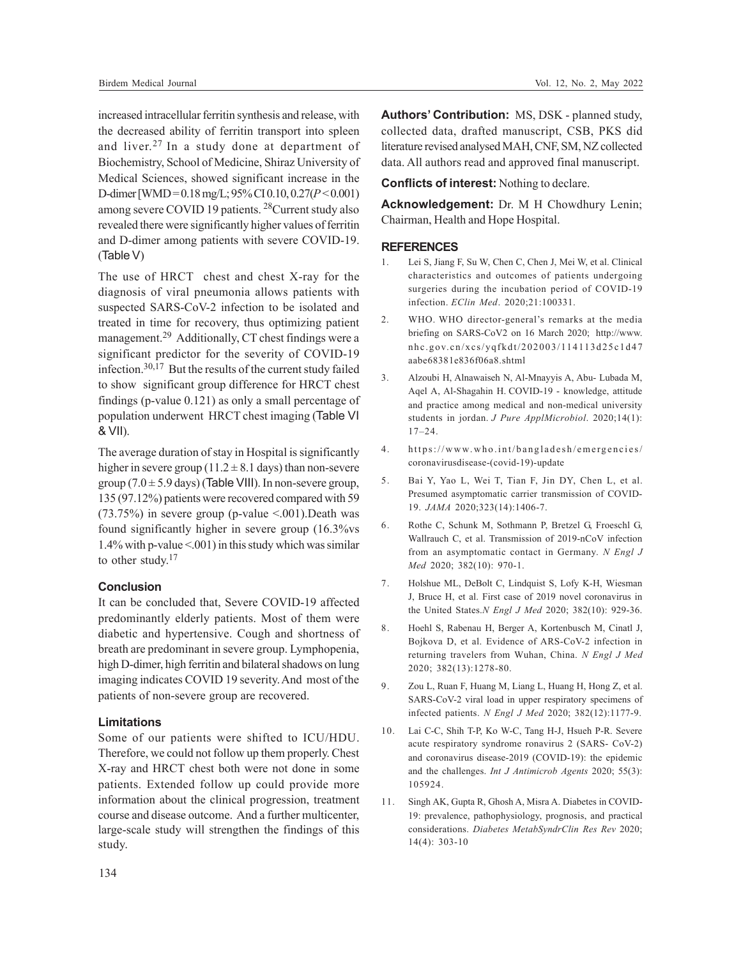increased intracellular ferritin synthesis and release, with the decreased ability of ferritin transport into spleen and liver. <sup>27</sup> In a study done at department of Biochemistry, School of Medicine, Shiraz University of Medical Sciences, showed significant increase in the D-dimer [WMD = 0.18 mg/L; 95% CI 0.10, 0.27(*P* < 0.001) among severe COVID 19 patients. 28Current study also revealed there were significantly higher values of ferritin and D-dimer among patients with severe COVID-19. (Table V)

The use of HRCT chest and chest X-ray for the diagnosis of viral pneumonia allows patients with suspected SARS-CoV-2 infection to be isolated and treated in time for recovery, thus optimizing patient management.<sup>29</sup> Additionally, CT chest findings were a significant predictor for the severity of COVID-19 infection.30,17 But the results of the current study failed to show significant group difference for HRCT chest findings (p-value 0.121) as only a small percentage of population underwent HRCT chest imaging (Table VI & VII).

The average duration of stay in Hospital is significantly higher in severe group (11.2  $\pm$  8.1 days) than non-severe group  $(7.0 \pm 5.9 \text{ days})$  (Table VIII). In non-severe group, 135 (97.12%) patients were recovered compared with 59  $(73.75%)$  in severe group (p-value <.001). Death was found significantly higher in severe group (16.3%vs 1.4% with p-value <.001) in this study which was similar to other study.<sup>17</sup>

## **Conclusion**

It can be concluded that, Severe COVID-19 affected predominantly elderly patients. Most of them were diabetic and hypertensive. Cough and shortness of breath are predominant in severe group. Lymphopenia, high D-dimer, high ferritin and bilateral shadows on lung imaging indicates COVID 19 severity. And most of the patients of non-severe group are recovered.

#### **Limitations**

Some of our patients were shifted to ICU/HDU. Therefore, we could not follow up them properly. Chest X-ray and HRCT chest both were not done in some patients. Extended follow up could provide more information about the clinical progression, treatment course and disease outcome. And a further multicenter, large-scale study will strengthen the findings of this study.

**Authors' Contribution:** MS, DSK - planned study, collected data, drafted manuscript, CSB, PKS did literature revised analysed MAH, CNF, SM, NZ collected data. All authors read and approved final manuscript.

**Conflicts of interest:** Nothing to declare.

**Acknowledgement:** Dr. M H Chowdhury Lenin; Chairman, Health and Hope Hospital.

#### **REFERENCES**

- 1. Lei S, Jiang F, Su W, Chen C, Chen J, Mei W, et al. Clinical characteristics and outcomes of patients undergoing surgeries during the incubation period of COVID-19 infection. *EClin Med*. 2020;21:100331.
- 2. WHO. WHO director-general's remarks at the media briefing on SARS-CoV2 on 16 March 2020; http://www. nhc.gov.cn/xcs/yqfkdt/202003/114113d25c1d47 aabe68381e836f06a8.shtml
- 3. Alzoubi H, Alnawaiseh N, Al-Mnayyis A, Abu- Lubada M, Aqel A, Al-Shagahin H. COVID-19 - knowledge, attitude and practice among medical and non-medical university students in jordan. *J Pure ApplMicrobiol*. 2020;14(1): 17–24.
- 4. https://www.who.int/bangladesh/emergencies/ coronavirusdisease-(covid-19)-update
- 5. Bai Y, Yao L, Wei T, Tian F, Jin DY, Chen L, et al. Presumed asymptomatic carrier transmission of COVID-19. *JAMA* 2020;323(14):1406-7.
- 6. Rothe C, Schunk M, Sothmann P, Bretzel G, Froeschl G, Wallrauch C, et al. Transmission of 2019-nCoV infection from an asymptomatic contact in Germany. *N Engl J Med* 2020; 382(10): 970-1.
- 7. Holshue ML, DeBolt C, Lindquist S, Lofy K-H, Wiesman J, Bruce H, et al. First case of 2019 novel coronavirus in the United States.*N Engl J Med* 2020; 382(10): 929-36.
- 8. Hoehl S, Rabenau H, Berger A, Kortenbusch M, Cinatl J, Bojkova D, et al. Evidence of ARS-CoV-2 infection in returning travelers from Wuhan, China. *N Engl J Med* 2020; 382(13):1278-80.
- 9. Zou L, Ruan F, Huang M, Liang L, Huang H, Hong Z, et al. SARS-CoV-2 viral load in upper respiratory specimens of infected patients. *N Engl J Med* 2020; 382(12):1177-9.
- 10. Lai C-C, Shih T-P, Ko W-C, Tang H-J, Hsueh P-R. Severe acute respiratory syndrome ronavirus 2 (SARS- CoV-2) and coronavirus disease-2019 (COVID-19): the epidemic and the challenges. *Int J Antimicrob Agents* 2020; 55(3): 105924.
- 11. Singh AK, Gupta R, Ghosh A, Misra A. Diabetes in COVID-19: prevalence, pathophysiology, prognosis, and practical considerations. *Diabetes MetabSyndrClin Res Rev* 2020; 14(4): 303-10